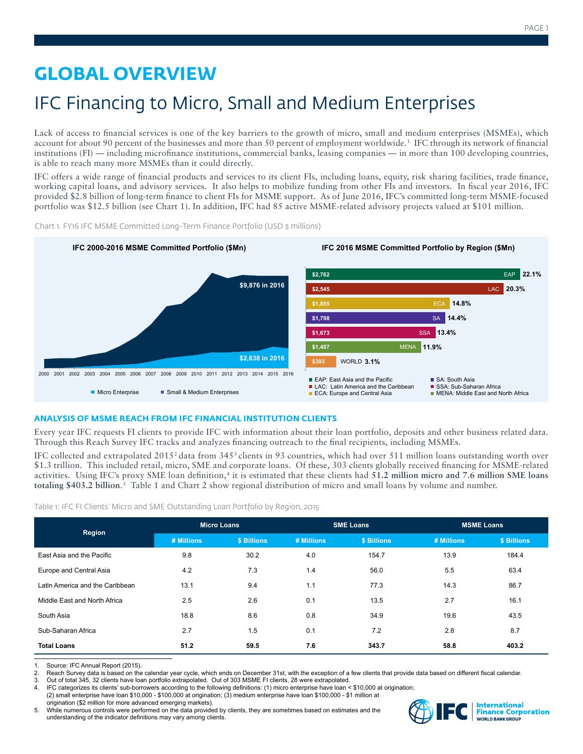# **GLOBAL OVERVIEW**

# IFC Financing to Micro, Small and Medium Enterprises

Lack of access to financial services is one of the key barriers to the growth of micro, small and medium enterprises (MSMEs), which account for about 90 percent of the businesses and more than 50 percent of employment worldwide.<sup>1</sup> IFC through its network of financial institutions (FI) — including microfinance institutions, commercial banks, leasing companies — in more than 100 developing countries, is able to reach many more MSMEs than it could directly.

IFC offers a wide range of financial products and services to its client FIs, including loans, equity, risk sharing facilities, trade finance, working capital loans, and advisory services. It also helps to mobilize funding from other FIs and investors. In fiscal year 2016, IFC provided \$2.8 billion of long-term finance to client FIs for MSME support. As of June 2016, IFC's committed long-term MSME-focused portfolio was \$12.5 billion (see Chart 1). In addition, IFC had 85 active MSME-related advisory projects valued at \$101 million.



Chart 1. FY16 IFC MSME Committed Long-Term Finance Portfolio (USD \$ millions)

# **ANALYSIS OF MSME REACH FROM IFC FINANCIAL INSTITUTION CLIENTS**

Every year IFC requests FI clients to provide IFC with information about their loan portfolio, deposits and other business related data. Through this Reach Survey IFC tracks and analyzes financing outreach to the final recipients, including MSMEs.

IFC collected and extrapolated 20152 data from 3453 clients in 93 countries, which had over 511 million loans outstanding worth over \$1.3 trillion. This included retail, micro, SME and corporate loans. Of these, 303 clients globally received financing for MSME-related activities. Using IFC's proxy SME loan definition,<sup>4</sup> it is estimated that these clients had 51.2 million micro and 7.6 million SME loans totaling \$403.2 billion.<sup>5</sup> Table 1 and Chart 2 show regional distribution of micro and small loans by volume and number.

Table 1: IFC FI Clients' Micro and SME Outstanding Loan Portfolio by Region, 2015

| Region                          | <b>Micro Loans</b> |             | <b>SME Loans</b> |             | <b>MSME Loans</b> |             |
|---------------------------------|--------------------|-------------|------------------|-------------|-------------------|-------------|
|                                 | # Millions         | \$ Billions | # Millions       | \$ Billions | # Millions        | \$ Billions |
| East Asia and the Pacific       | 9.8                | 30.2        | 4.0              | 154.7       | 13.9              | 184.4       |
| Europe and Central Asia         | 4.2                | 7.3         | 1.4              | 56.0        | 5.5               | 63.4        |
| Latin America and the Caribbean | 13.1               | 9.4         | 1.1              | 77.3        | 14.3              | 86.7        |
| Middle East and North Africa    | 2.5                | 2.6         | 0.1              | 13.5        | 2.7               | 16.1        |
| South Asia                      | 18.8               | 8.6         | 0.8              | 34.9        | 19.6              | 43.5        |
| Sub-Saharan Africa              | 2.7                | 1.5         | 0.1              | 7.2         | 2.8               | 8.7         |
| <b>Total Loans</b>              | 51.2               | 59.5        | 7.6              | 343.7       | 58.8              | 403.2       |

1. Source: IFC Annual Report (2015).<br>2. Reach Survey data is based on the

Reach Survey data is based on the calendar year cycle, which ends on December 31st, with the exception of a few clients that provide data based on different fiscal calendar.

3. Out of total 345, 32 clients have loan portfolio extrapolated. Out of 303 MSME FI clients, 28 were extrapolated.<br>4. IFC categorizes its clients' sub-borrowers according to the following definitions: (1) micro enterprise

IFC categorizes its clients' sub-borrowers according to the following definitions: (1) micro enterprise have loan < \$10,000 at origination; (2) small enterprise have loan \$10,000 - \$100,000 at origination; (3) medium enterprise have loan \$100,000 - \$1 million at origination (\$2 million for more advanced emerging markets).

5. While numerous controls were performed on the data provided by clients, they are sometimes based on estimates and the understanding of the indicator definitions may vary among clients.

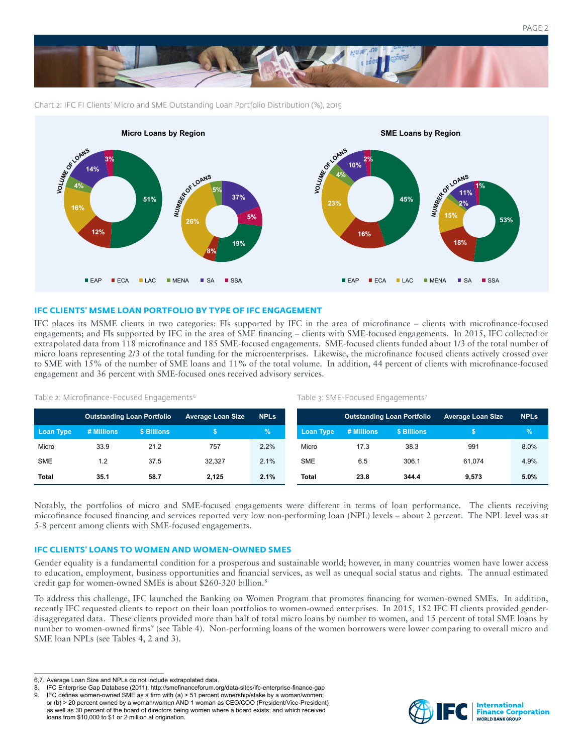

Chart 2: IFC FI Clients' Micro and SME Outstanding Loan Portfolio Distribution (%), 2015



# **IFC CLIENTS' MSME LOAN PORTFOLIO BY TYPE OF IFC ENGAGEMENT**

IFC places its MSME clients in two categories: FIs supported by IFC in the area of microfinance – clients with microfinance-focused engagements; and FIs supported by IFC in the area of SME financing – clients with SME-focused engagements. In 2015, IFC collected or extrapolated data from 118 microfinance and 185 SME-focused engagements. SME-focused clients funded about 1/3 of the total number of micro loans representing 2/3 of the total funding for the microenterprises. Likewise, the microfinance focused clients actively crossed over to SME with 15% of the number of SME loans and 11% of the total volume. In addition, 44 percent of clients with microfinance-focused engagement and 36 percent with SME-focused ones received advisory services.

Table 3: SME-Focused Engagements<sup>7</sup>

|              | Outstanding Loan Portfolio |             | <b>Average Loan Size</b> | <b>NPLs</b>   |                  | <b>Outstanding Loan Portfolio</b> |             | <b>Average Loan Size</b> | <b>NPLs</b> |
|--------------|----------------------------|-------------|--------------------------|---------------|------------------|-----------------------------------|-------------|--------------------------|-------------|
| Loan Type    | # Millions                 | \$ Billions |                          | $\frac{9}{6}$ | <b>Loan Type</b> | # Millions                        | \$ Billions |                          |             |
| Micro        | 33.9                       | 21.2        | 757                      | 2.2%          | Micro            | 17.3                              | 38.3        | 991                      | 8.0%        |
| <b>SME</b>   | 1.2                        | 37.5        | 32.327                   | 2.1%          | <b>SME</b>       | 6.5                               | 306.1       | 61.074                   | 4.9%        |
| <b>Total</b> | 35.1                       | 58.7        | 2.125                    | 2.1%          | Total            | 23.8                              | 344.4       | 9.573                    | 5.0%        |

Table 2: Microfinance-Focused Engagements<sup>6</sup>

Notably, the portfolios of micro and SME-focused engagements were different in terms of loan performance. The clients receiving microfinance focused financing and services reported very low non-performing loan (NPL) levels – about 2 percent. The NPL level was at 5-8 percent among clients with SME-focused engagements.

# **IFC CLIENTS' LOANS TO WOMEN AND WOMEN-OWNED SMES**

Gender equality is a fundamental condition for a prosperous and sustainable world; however, in many countries women have lower access to education, employment, business opportunities and financial services, as well as unequal social status and rights. The annual estimated credit gap for women-owned SMEs is about \$260-320 billion.8

To address this challenge, IFC launched the Banking on Women Program that promotes financing for women-owned SMEs. In addition, recently IFC requested clients to report on their loan portfolios to women-owned enterprises. In 2015, 152 IFC FI clients provided genderdisaggregated data. These clients provided more than half of total micro loans by number to women, and 15 percent of total SME loans by number to women-owned firms<sup>9</sup> (see Table 4). Non-performing loans of the women borrowers were lower comparing to overall micro and SME loan NPLs (see Tables 4, 2 and 3).



<sup>6,7.</sup> Average Loan Size and NPLs do not include extrapolated data.

<sup>8.</sup> IFC Enterprise Gap Database (2011). http://smefinanceforum.org/data-sites/ifc-enterprise-finance-gap

<sup>9.</sup> IFC defines women-owned SME as a firm with (a) > 51 percent ownership/stake by a woman/women; or (b) > 20 percent owned by a woman/women AND 1 woman as CEO/COO (President/Vice-President) as well as 30 percent of the board of directors being women where a board exists; and which received loans from \$10,000 to \$1 or 2 million at origination.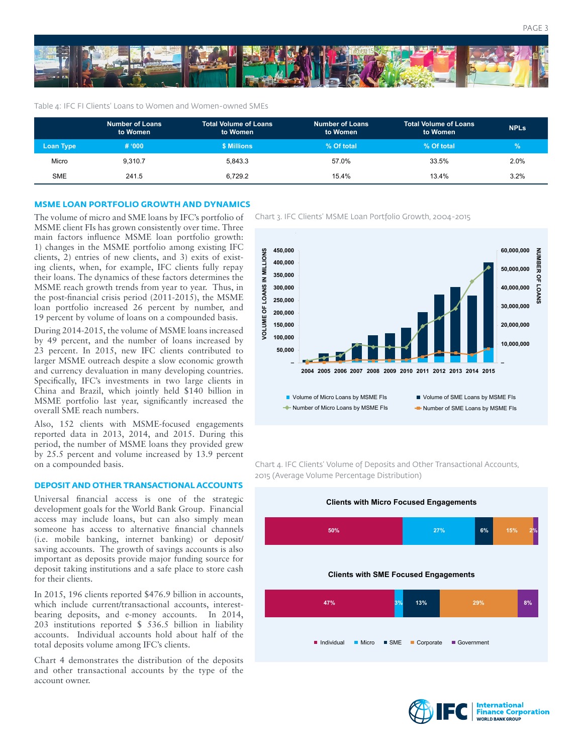

#### Table 4: IFC FI Clients' Loans to Women and Women-owned SMEs

|                  | <b>Number of Loans</b><br>to Women | <b>Total Volume of Loans</b><br>to Women | Number of Loans<br>to Women | <b>Total Volume of Loans</b><br>to Women | <b>NPLs</b> |
|------------------|------------------------------------|------------------------------------------|-----------------------------|------------------------------------------|-------------|
| <b>Loan Type</b> | # '000                             | \$ Millions                              | % Of total                  | % Of total                               | $\sqrt{2}$  |
| Micro            | 9.310.7                            | 5.843.3                                  | 57.0%                       | 33.5%                                    | 2.0%        |
| SME              | 241.5                              | 6.729.2                                  | 15.4%                       | 13.4%                                    | 3.2%        |

#### **MSME LOAN PORTFOLIO GROWTH AND DYNAMICS**

MSME client FIs has grown consistently over time. Three main factors influence MSME loan portfolio growth: 1) changes in the MSME portfolio among existing IFC clients, 2) entries of new clients, and 3) exits of existing clients, when, for example, IFC clients fully repay their loans. The dynamics of these factors determines the MSME reach growth trends from year to year. Thus, in the post-financial crisis period (2011-2015), the MSME loan portfolio increased 26 percent by number, and 19 percent by volume of loans on a compounded basis.

During 2014-2015, the volume of MSME loans increased by 49 percent, and the number of loans increased by 23 percent. In 2015, new IFC clients contributed to larger MSME outreach despite a slow economic growth and currency devaluation in many developing countries. Specifically, IFC's investments in two large clients in China and Brazil, which jointly held \$140 billion in MSME portfolio last year, significantly increased the overall SME reach numbers.

Also, 152 clients with MSME-focused engagements reported data in 2013, 2014, and 2015. During this period, the number of MSME loans they provided grew by 25.5 percent and volume increased by 13.9 percent on a compounded basis.

#### **DEPOSIT AND OTHER TRANSACTIONAL ACCOUNTS**

Universal financial access is one of the strategic development goals for the World Bank Group. Financial access may include loans, but can also simply mean someone has access to alternative financial channels (i.e. mobile banking, internet banking) or deposit/ saving accounts. The growth of savings accounts is also important as deposits provide major funding source for deposit taking institutions and a safe place to store cash for their clients.

In 2015, 196 clients reported \$476.9 billion in accounts, which include current/transactional accounts, interestbearing deposits, and e-money accounts. In 2014, 203 institutions reported \$ 536.5 billion in liability accounts. Individual accounts hold about half of the total deposits volume among IFC's clients.

Chart 4 demonstrates the distribution of the deposits and other transactional accounts by the type of the account owner.

The volume of micro and SME loans by IFC's portfolio of Chart 3. IFC Clients' MSME Loan Portfolio Growth, 2004-2015



Chart 4. IFC Clients' Volume of Deposits and Other Transactional Accounts, 2015 (Average Volume Percentage Distribution)